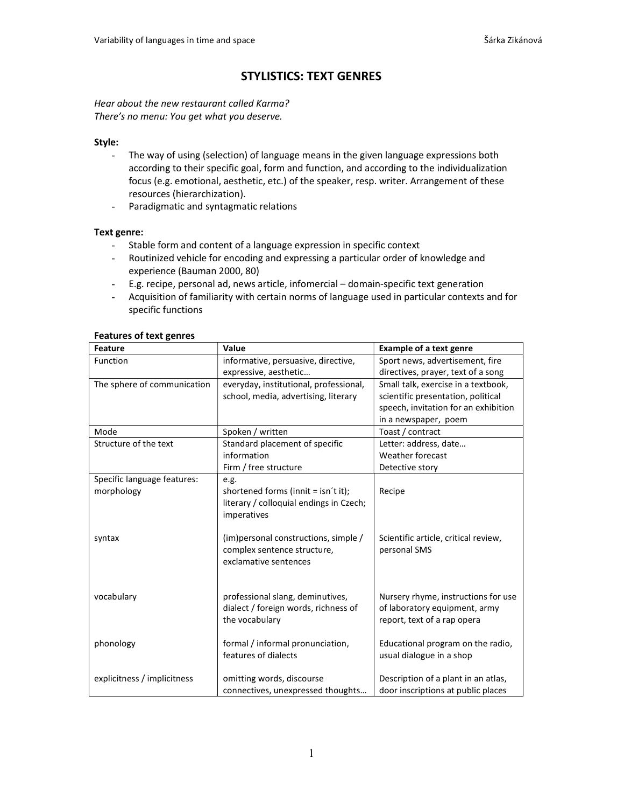# STYLISTICS: TEXT GENRES

Hear about the new restaurant called Karma? There's no menu: You get what you deserve.

## Style:

- The way of using (selection) of language means in the given language expressions both according to their specific goal, form and function, and according to the individualization focus (e.g. emotional, aesthetic, etc.) of the speaker, resp. writer. Arrangement of these resources (hierarchization).
- Paradigmatic and syntagmatic relations

## Text genre:

- Stable form and content of a language expression in specific context
- Routinized vehicle for encoding and expressing a particular order of knowledge and experience (Bauman 2000, 80)
- E.g. recipe, personal ad, news article, infomercial domain-specific text generation
- Acquisition of familiarity with certain norms of language used in particular contexts and for specific functions

| ישומים ושישורים ושומים<br>Feature | Value                                   | <b>Example of a text genre</b>       |
|-----------------------------------|-----------------------------------------|--------------------------------------|
| Function                          | informative, persuasive, directive,     | Sport news, advertisement, fire      |
|                                   | expressive, aesthetic                   | directives, prayer, text of a song   |
| The sphere of communication       | everyday, institutional, professional,  | Small talk, exercise in a textbook,  |
|                                   | school, media, advertising, literary    | scientific presentation, political   |
|                                   |                                         | speech, invitation for an exhibition |
|                                   |                                         | in a newspaper, poem                 |
| Mode                              | Spoken / written                        | Toast / contract                     |
| Structure of the text             | Standard placement of specific          | Letter: address, date                |
|                                   | information                             | Weather forecast                     |
|                                   | Firm / free structure                   | Detective story                      |
| Specific language features:       | e.g.                                    |                                      |
| morphology                        | shortened forms (innit = isn't it);     | Recipe                               |
|                                   | literary / colloquial endings in Czech; |                                      |
|                                   | imperatives                             |                                      |
|                                   |                                         |                                      |
| syntax                            | (im) personal constructions, simple /   | Scientific article, critical review, |
|                                   | complex sentence structure,             | personal SMS                         |
|                                   | exclamative sentences                   |                                      |
|                                   |                                         |                                      |
|                                   |                                         |                                      |
| vocabulary                        | professional slang, deminutives,        | Nursery rhyme, instructions for use  |
|                                   | dialect / foreign words, richness of    | of laboratory equipment, army        |
|                                   | the vocabulary                          | report, text of a rap opera          |
|                                   |                                         |                                      |
| phonology                         | formal / informal pronunciation,        | Educational program on the radio,    |
|                                   | features of dialects                    | usual dialogue in a shop             |
|                                   |                                         |                                      |
| explicitness / implicitness       | omitting words, discourse               | Description of a plant in an atlas,  |
|                                   | connectives, unexpressed thoughts       | door inscriptions at public places   |

## Features of text genres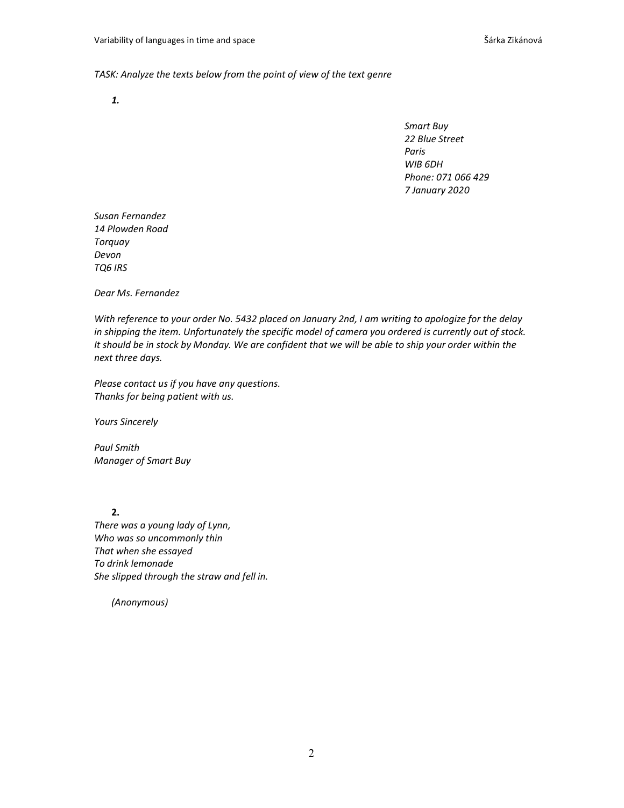### TASK: Analyze the texts below from the point of view of the text genre

1.

Smart Buy 22 Blue Street Paris WIB 6DH Phone: 071 066 429 7 January 2020

Susan Fernandez 14 Plowden Road Torquay Devon TQ6 IRS

Dear Ms. Fernandez

With reference to your order No. 5432 placed on January 2nd, I am writing to apologize for the delay in shipping the item. Unfortunately the specific model of camera you ordered is currently out of stock. It should be in stock by Monday. We are confident that we will be able to ship your order within the next three days.

Please contact us if you have any questions. Thanks for being patient with us.

Yours Sincerely

Paul Smith Manager of Smart Buy

2. There was a young lady of Lynn, Who was so uncommonly thin That when she essayed To drink lemonade She slipped through the straw and fell in.

(Anonymous)